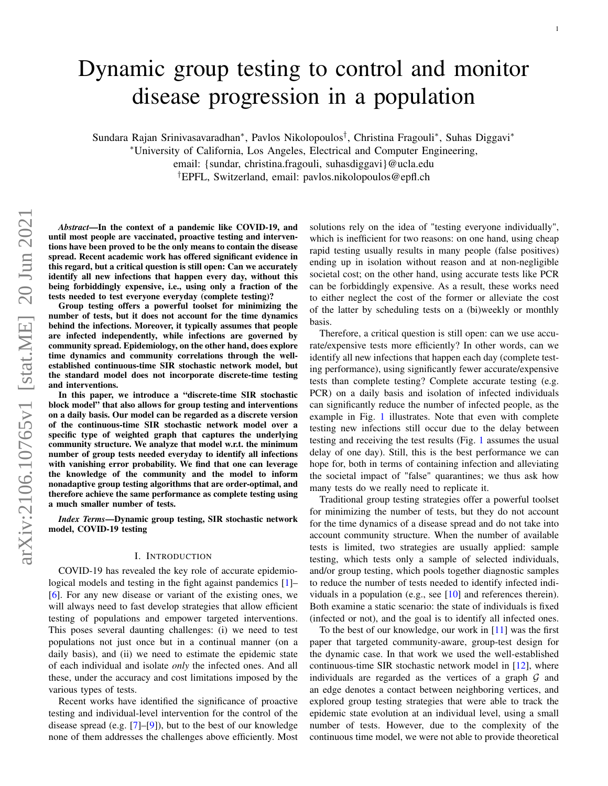# <span id="page-0-0"></span>Dynamic group testing to control and monitor disease progression in a population

Sundara Rajan Srinivasavaradhan<sup>∗</sup> , Pavlos Nikolopoulos† , Christina Fragouli<sup>∗</sup> , Suhas Diggavi<sup>∗</sup>

<sup>∗</sup>University of California, Los Angeles, Electrical and Computer Engineering,

email: {sundar, christina.fragouli, suhasdiggavi}@ucla.edu

†EPFL, Switzerland, email: pavlos.nikolopoulos@epfl.ch

*Abstract*—In the context of a pandemic like COVID-19, and until most people are vaccinated, proactive testing and interventions have been proved to be the only means to contain the disease spread. Recent academic work has offered significant evidence in this regard, but a critical question is still open: Can we accurately identify all new infections that happen every day, without this being forbiddingly expensive, i.e., using only a fraction of the tests needed to test everyone everyday (complete testing)?

Group testing offers a powerful toolset for minimizing the number of tests, but it does not account for the time dynamics behind the infections. Moreover, it typically assumes that people are infected independently, while infections are governed by community spread. Epidemiology, on the other hand, does explore time dynamics and community correlations through the wellestablished continuous-time SIR stochastic network model, but the standard model does not incorporate discrete-time testing and interventions.

In this paper, we introduce a "discrete-time SIR stochastic block model" that also allows for group testing and interventions on a daily basis. Our model can be regarded as a discrete version of the continuous-time SIR stochastic network model over a specific type of weighted graph that captures the underlying community structure. We analyze that model w.r.t. the minimum number of group tests needed everyday to identify all infections with vanishing error probability. We find that one can leverage the knowledge of the community and the model to inform nonadaptive group testing algorithms that are order-optimal, and therefore achieve the same performance as complete testing using a much smaller number of tests.

*Index Terms*—Dynamic group testing, SIR stochastic network model, COVID-19 testing

# I. INTRODUCTION

COVID-19 has revealed the key role of accurate epidemio-logical models and testing in the fight against pandemics [\[1\]](#page-9-0)– [\[6\]](#page-9-1). For any new disease or variant of the existing ones, we will always need to fast develop strategies that allow efficient testing of populations and empower targeted interventions. This poses several daunting challenges: (i) we need to test populations not just once but in a continual manner (on a daily basis), and (ii) we need to estimate the epidemic state of each individual and isolate *only* the infected ones. And all these, under the accuracy and cost limitations imposed by the various types of tests.

Recent works have identified the significance of proactive testing and individual-level intervention for the control of the disease spread (e.g.  $[7]$ – $[9]$ ), but to the best of our knowledge none of them addresses the challenges above efficiently. Most solutions rely on the idea of "testing everyone individually", which is inefficient for two reasons: on one hand, using cheap rapid testing usually results in many people (false positives) ending up in isolation without reason and at non-negligible societal cost; on the other hand, using accurate tests like PCR can be forbiddingly expensive. As a result, these works need to either neglect the cost of the former or alleviate the cost of the latter by scheduling tests on a (bi)weekly or monthly basis.

Therefore, a critical question is still open: can we use accurate/expensive tests more efficiently? In other words, can we identify all new infections that happen each day (complete testing performance), using significantly fewer accurate/expensive tests than complete testing? Complete accurate testing (e.g. PCR) on a daily basis and isolation of infected individuals can significantly reduce the number of infected people, as the example in Fig. [1](#page-1-0) illustrates. Note that even with complete testing new infections still occur due to the delay between testing and receiving the test results (Fig. [1](#page-1-0) assumes the usual delay of one day). Still, this is the best performance we can hope for, both in terms of containing infection and alleviating the societal impact of "false" quarantines; we thus ask how many tests do we really need to replicate it.

Traditional group testing strategies offer a powerful toolset for minimizing the number of tests, but they do not account for the time dynamics of a disease spread and do not take into account community structure. When the number of available tests is limited, two strategies are usually applied: sample testing, which tests only a sample of selected individuals, and/or group testing, which pools together diagnostic samples to reduce the number of tests needed to identify infected individuals in a population (e.g., see [\[10\]](#page-9-4) and references therein). Both examine a static scenario: the state of individuals is fixed (infected or not), and the goal is to identify all infected ones.

To the best of our knowledge, our work in [\[11\]](#page-9-5) was the first paper that targeted community-aware, group-test design for the dynamic case. In that work we used the well-established continuous-time SIR stochastic network model in [\[12\]](#page-9-6), where individuals are regarded as the vertices of a graph  $\mathcal G$  and an edge denotes a contact between neighboring vertices, and explored group testing strategies that were able to track the epidemic state evolution at an individual level, using a small number of tests. However, due to the complexity of the continuous time model, we were not able to provide theoretical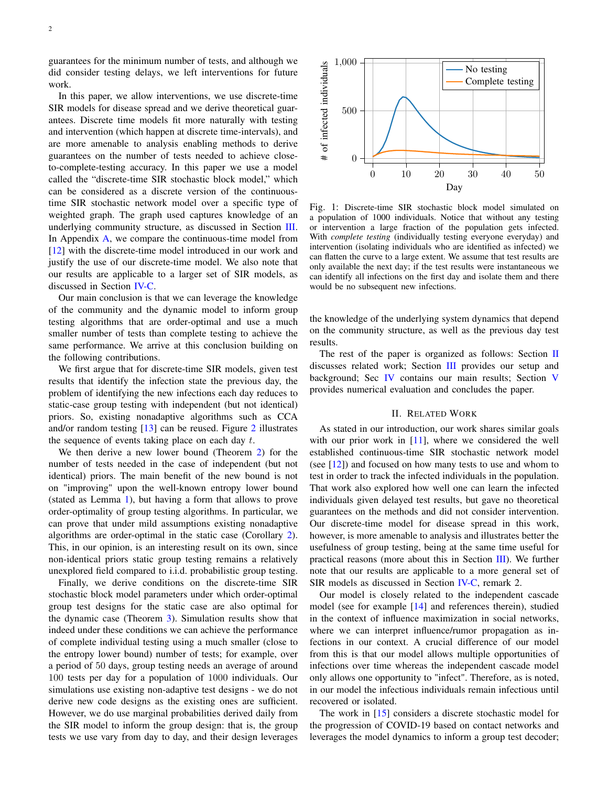guarantees for the minimum number of tests, and although we did consider testing delays, we left interventions for future work.

In this paper, we allow interventions, we use discrete-time SIR models for disease spread and we derive theoretical guarantees. Discrete time models fit more naturally with testing and intervention (which happen at discrete time-intervals), and are more amenable to analysis enabling methods to derive guarantees on the number of tests needed to achieve closeto-complete-testing accuracy. In this paper we use a model called the "discrete-time SIR stochastic block model," which can be considered as a discrete version of the continuoustime SIR stochastic network model over a specific type of weighted graph. The graph used captures knowledge of an underlying community structure, as discussed in Section [III.](#page-2-0) In Appendix [A,](#page-10-0) we compare the continuous-time model from [\[12\]](#page-9-6) with the discrete-time model introduced in our work and justify the use of our discrete-time model. We also note that our results are applicable to a larger set of SIR models, as discussed in Section [IV-C.](#page-7-0)

Our main conclusion is that we can leverage the knowledge of the community and the dynamic model to inform group testing algorithms that are order-optimal and use a much smaller number of tests than complete testing to achieve the same performance. We arrive at this conclusion building on the following contributions.

We first argue that for discrete-time SIR models, given test results that identify the infection state the previous day, the problem of identifying the new infections each day reduces to static-case group testing with independent (but not identical) priors. So, existing nonadaptive algorithms such as CCA and/or random testing [\[13\]](#page-9-7) can be reused. Figure [2](#page-2-1) illustrates the sequence of events taking place on each day  $t$ .

We then derive a new lower bound (Theorem [2\)](#page-6-0) for the number of tests needed in the case of independent (but not identical) priors. The main benefit of the new bound is not on "improving" upon the well-known entropy lower bound (stated as Lemma [1\)](#page-3-0), but having a form that allows to prove order-optimality of group testing algorithms. In particular, we can prove that under mild assumptions existing nonadaptive algorithms are order-optimal in the static case (Corollary [2\)](#page-7-1). This, in our opinion, is an interesting result on its own, since non-identical priors static group testing remains a relatively unexplored field compared to i.i.d. probabilistic group testing.

Finally, we derive conditions on the discrete-time SIR stochastic block model parameters under which order-optimal group test designs for the static case are also optimal for the dynamic case (Theorem [3\)](#page-7-2). Simulation results show that indeed under these conditions we can achieve the performance of complete individual testing using a much smaller (close to the entropy lower bound) number of tests; for example, over a period of 50 days, group testing needs an average of around 100 tests per day for a population of 1000 individuals. Our simulations use existing non-adaptive test designs - we do not derive new code designs as the existing ones are sufficient. However, we do use marginal probabilities derived daily from the SIR model to inform the group design: that is, the group tests we use vary from day to day, and their design leverages

<span id="page-1-0"></span>

Fig. 1: Discrete-time SIR stochastic block model simulated on a population of 1000 individuals. Notice that without any testing or intervention a large fraction of the population gets infected. With *complete testing* (individually testing everyone everyday) and intervention (isolating individuals who are identified as infected) we can flatten the curve to a large extent. We assume that test results are only available the next day; if the test results were instantaneous we can identify all infections on the first day and isolate them and there would be no subsequent new infections.

the knowledge of the underlying system dynamics that depend on the community structure, as well as the previous day test results.

The rest of the paper is organized as follows: Section [II](#page-1-1) discusses related work; Section [III](#page-2-0) provides our setup and background; Sec [IV](#page-4-0) contains our main results; Section [V](#page-8-0) provides numerical evaluation and concludes the paper.

### II. RELATED WORK

<span id="page-1-1"></span>As stated in our introduction, our work shares similar goals with our prior work in  $[11]$ , where we considered the well established continuous-time SIR stochastic network model (see  $[12]$ ) and focused on how many tests to use and whom to test in order to track the infected individuals in the population. That work also explored how well one can learn the infected individuals given delayed test results, but gave no theoretical guarantees on the methods and did not consider intervention. Our discrete-time model for disease spread in this work, however, is more amenable to analysis and illustrates better the usefulness of group testing, being at the same time useful for practical reasons (more about this in Section [III\)](#page-2-0). We further note that our results are applicable to a more general set of SIR models as discussed in Section [IV-C,](#page-7-0) remark 2.

Our model is closely related to the independent cascade model (see for example [\[14\]](#page-9-8) and references therein), studied in the context of influence maximization in social networks, where we can interpret influence/rumor propagation as infections in our context. A crucial difference of our model from this is that our model allows multiple opportunities of infections over time whereas the independent cascade model only allows one opportunity to "infect". Therefore, as is noted, in our model the infectious individuals remain infectious until recovered or isolated.

The work in [\[15\]](#page-9-9) considers a discrete stochastic model for the progression of COVID-19 based on contact networks and leverages the model dynamics to inform a group test decoder;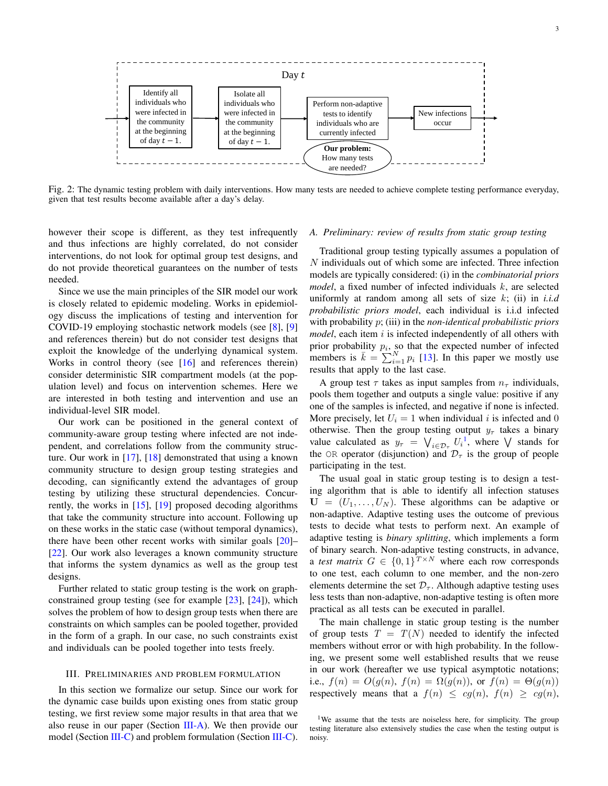<span id="page-2-1"></span>

Fig. 2: The dynamic testing problem with daily interventions. How many tests are needed to achieve complete testing performance everyday, given that test results become available after a day's delay.

however their scope is different, as they test infrequently and thus infections are highly correlated, do not consider interventions, do not look for optimal group test designs, and do not provide theoretical guarantees on the number of tests needed.

Since we use the main principles of the SIR model our work is closely related to epidemic modeling. Works in epidemiology discuss the implications of testing and intervention for COVID-19 employing stochastic network models (see [\[8\]](#page-9-10), [\[9\]](#page-9-3) and references therein) but do not consider test designs that exploit the knowledge of the underlying dynamical system. Works in control theory (see [\[16\]](#page-9-11) and references therein) consider deterministic SIR compartment models (at the population level) and focus on intervention schemes. Here we are interested in both testing and intervention and use an individual-level SIR model.

Our work can be positioned in the general context of community-aware group testing where infected are not independent, and correlations follow from the community structure. Our work in [\[17\]](#page-9-12), [\[18\]](#page-9-13) demonstrated that using a known community structure to design group testing strategies and decoding, can significantly extend the advantages of group testing by utilizing these structural dependencies. Concurrently, the works in [\[15\]](#page-9-9), [\[19\]](#page-9-14) proposed decoding algorithms that take the community structure into account. Following up on these works in the static case (without temporal dynamics), there have been other recent works with similar goals [\[20\]](#page-9-15)– [\[22\]](#page-9-16). Our work also leverages a known community structure that informs the system dynamics as well as the group test designs.

Further related to static group testing is the work on graphconstrained group testing (see for example [\[23\]](#page-9-17), [\[24\]](#page-9-18)), which solves the problem of how to design group tests when there are constraints on which samples can be pooled together, provided in the form of a graph. In our case, no such constraints exist and individuals can be pooled together into tests freely.

#### <span id="page-2-0"></span>III. PRELIMINARIES AND PROBLEM FORMULATION

In this section we formalize our setup. Since our work for the dynamic case builds upon existing ones from static group testing, we first review some major results in that area that we also reuse in our paper (Section [III-A\)](#page-2-2). We then provide our model (Section [III-C\)](#page-4-1) and problem formulation (Section [III-C\)](#page-4-1).

#### <span id="page-2-2"></span>*A. Preliminary: review of results from static group testing*

Traditional group testing typically assumes a population of  $N$  individuals out of which some are infected. Three infection models are typically considered: (i) in the *combinatorial priors model*, a fixed number of infected individuals k, are selected uniformly at random among all sets of size k; (ii) in *i.i.d probabilistic priors model*, each individual is i.i.d infected with probability p; (iii) in the *non-identical probabilistic priors model*, each item i is infected independently of all others with prior probability  $p_i$ , so that the expected number of infected members is  $\bar{k} = \sum_{i=1}^{N} p_i$  [\[13\]](#page-9-7). In this paper we mostly use results that apply to the last case.

A group test  $\tau$  takes as input samples from  $n_{\tau}$  individuals, pools them together and outputs a single value: positive if any one of the samples is infected, and negative if none is infected. More precisely, let  $U_i = 1$  when individual i is infected and 0 otherwise. Then the group testing output  $y_\tau$  takes a binary value calculated as  $y_{\tau} = \bigvee_{i \in \mathcal{D}_{\tau}} U_i^1$  $y_{\tau} = \bigvee_{i \in \mathcal{D}_{\tau}} U_i^1$ , where  $\bigvee$  stands for the OR operator (disjunction) and  $\mathcal{D}_{\tau}$  is the group of people participating in the test.

The usual goal in static group testing is to design a testing algorithm that is able to identify all infection statuses  $U = (U_1, \ldots, U_N)$ . These algorithms can be adaptive or non-adaptive. Adaptive testing uses the outcome of previous tests to decide what tests to perform next. An example of adaptive testing is *binary splitting*, which implements a form of binary search. Non-adaptive testing constructs, in advance, a *test matrix*  $G \in \{0,1\}^{T \times N}$  where each row corresponds to one test, each column to one member, and the non-zero elements determine the set  $\mathcal{D}_{\tau}$ . Although adaptive testing uses less tests than non-adaptive, non-adaptive testing is often more practical as all tests can be executed in parallel.

The main challenge in static group testing is the number of group tests  $T = T(N)$  needed to identify the infected members without error or with high probability. In the following, we present some well established results that we reuse in our work (hereafter we use typical asymptotic notations; i.e.,  $f(n) = O(g(n), f(n) = \Omega(g(n)),$  or  $f(n) = \Theta(g(n))$ respectively means that a  $f(n) \le cg(n)$ ,  $f(n) \ge cg(n)$ ,

<sup>&</sup>lt;sup>1</sup>We assume that the tests are noiseless here, for simplicity. The group testing literature also extensively studies the case when the testing output is noisy.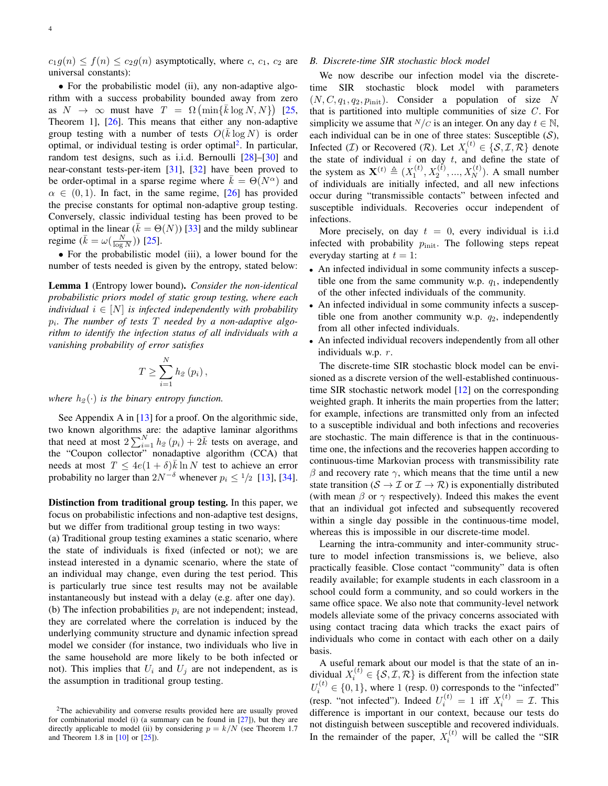$c_1g(n) \le f(n) \le c_2g(n)$  asymptotically, where c,  $c_1$ ,  $c_2$  are universal constants):

• For the probabilistic model (ii), any non-adaptive algorithm with a success probability bounded away from zero as  $N \to \infty$  must have  $T = \Omega \left( \min \{ \bar{k} \log N, N \} \right)$  [\[25,](#page-9-19) Theorem 1], [\[26\]](#page-9-20). This means that either any non-adaptive group testing with a number of tests  $O(\bar{k} \log N)$  is order optimal, or individual testing is order optimal<sup>[2](#page-0-0)</sup>. In particular, random test designs, such as i.i.d. Bernoulli [\[28\]](#page-10-1)–[\[30\]](#page-10-2) and near-constant tests-per-item [\[31\]](#page-10-3), [\[32\]](#page-10-4) have been proved to be order-optimal in a sparse regime where  $k = \Theta(N^{\alpha})$  and  $\alpha \in (0, 1)$ . In fact, in the same regime, [\[26\]](#page-9-20) has provided the precise constants for optimal non-adaptive group testing. Conversely, classic individual testing has been proved to be optimal in the linear ( $\bar{k} = \Theta(N)$ ) [\[33\]](#page-10-5) and the mildy sublinear regime  $(\bar{k} = \omega(\frac{N}{\log N}))$  [\[25\]](#page-9-19).

• For the probabilistic model (iii), a lower bound for the number of tests needed is given by the entropy, stated below:

<span id="page-3-0"></span>Lemma 1 (Entropy lower bound). *Consider the non-identical probabilistic priors model of static group testing, where each individual*  $i \in [N]$  *is infected independently with probability* pi *. The number of tests* T *needed by a non-adaptive algorithm to identify the infection status of all individuals with a vanishing probability of error satisfies*

$$
T \geq \sum_{i=1}^{N} h_2(p_i),
$$

*where*  $h_2(\cdot)$  *is the binary entropy function.* 

See Appendix A in  $[13]$  for a proof. On the algorithmic side, two known algorithms are: the adaptive laminar algorithms that need at most  $2\sum_{i=1}^{N}h_{2}(p_{i})+2\bar{k}$  tests on average, and the "Coupon collector" nonadaptive algorithm (CCA) that needs at most  $T \le 4e(1+\delta)\overline{k} \ln N$  test to achieve an error probability no larger than  $2N^{-\delta}$  whenever  $p_i \leq 1/2$  [\[13\]](#page-9-7), [\[34\]](#page-10-6).

Distinction from traditional group testing. In this paper, we focus on probabilistic infections and non-adaptive test designs, but we differ from traditional group testing in two ways:

(a) Traditional group testing examines a static scenario, where the state of individuals is fixed (infected or not); we are instead interested in a dynamic scenario, where the state of an individual may change, even during the test period. This is particularly true since test results may not be available instantaneously but instead with a delay (e.g. after one day). (b) The infection probabilities  $p_i$  are not independent; instead, they are correlated where the correlation is induced by the underlying community structure and dynamic infection spread model we consider (for instance, two individuals who live in the same household are more likely to be both infected or not). This implies that  $U_i$  and  $U_j$  are not independent, as is the assumption in traditional group testing.

## <span id="page-3-1"></span>*B. Discrete-time SIR stochastic block model*

We now describe our infection model via the discretetime SIR stochastic block model with parameters  $(N, C, q_1, q_2, p_{\text{init}})$ . Consider a population of size N that is partitioned into multiple communities of size  $C$ . For simplicity we assume that  $N/c$  is an integer. On any day  $t \in \mathbb{N}$ , each individual can be in one of three states: Susceptible  $(S)$ , Infected (*I*) or Recovered (*R*). Let  $X_i^{(t)} \in \{S, I, R\}$  denote the state of individual  $i$  on day  $t$ , and define the state of the system as  $\mathbf{X}^{(t)} \triangleq (X_1^{(t)}, X_2^{(t)}, ..., X_N^{(t)})$ . A small number of individuals are initially infected, and all new infections occur during "transmissible contacts" between infected and susceptible individuals. Recoveries occur independent of infections.

More precisely, on day  $t = 0$ , every individual is i.i.d infected with probability  $p_{init}$ . The following steps repeat everyday starting at  $t = 1$ :

- An infected individual in some community infects a susceptible one from the same community w.p.  $q_1$ , independently of the other infected individuals of the community.
- An infected individual in some community infects a susceptible one from another community w.p.  $q_2$ , independently from all other infected individuals.
- An infected individual recovers independently from all other individuals w.p.  $r$ .

The discrete-time SIR stochastic block model can be envisioned as a discrete version of the well-established continuoustime SIR stochastic network model [\[12\]](#page-9-6) on the corresponding weighted graph. It inherits the main properties from the latter; for example, infections are transmitted only from an infected to a susceptible individual and both infections and recoveries are stochastic. The main difference is that in the continuoustime one, the infections and the recoveries happen according to continuous-time Markovian process with transmissibility rate β and recovery rate  $\gamma$ , which means that the time until a new state transition ( $S \to \mathcal{I}$  or  $\mathcal{I} \to \mathcal{R}$ ) is exponentially distributed (with mean  $\beta$  or  $\gamma$  respectively). Indeed this makes the event that an individual got infected and subsequently recovered within a single day possible in the continuous-time model, whereas this is impossible in our discrete-time model.

Learning the intra-community and inter-community structure to model infection transmissions is, we believe, also practically feasible. Close contact "community" data is often readily available; for example students in each classroom in a school could form a community, and so could workers in the same office space. We also note that community-level network models alleviate some of the privacy concerns associated with using contact tracing data which tracks the exact pairs of individuals who come in contact with each other on a daily basis.

A useful remark about our model is that the state of an individual  $X_i^{(t)} \in \{S, \mathcal{I}, \mathcal{R}\}\$ is different from the infection state  $U_i^{(t)} \in \{0, 1\}$ , where 1 (resp. 0) corresponds to the "infected" (resp. "not infected"). Indeed  $U_i^{(t)} = 1$  iff  $X_i^{(t)} = \mathcal{I}$ . This difference is important in our context, because our tests do not distinguish between susceptible and recovered individuals. In the remainder of the paper,  $X_i^{(t)}$  will be called the "SIR

<sup>2</sup>The achievability and converse results provided here are usually proved for combinatorial model (i) (a summary can be found in [\[27\]](#page-10-7)), but they are directly applicable to model (ii) by considering  $p = k/N$  (see Theorem 1.7) and Theorem 1.8 in [\[10\]](#page-9-4) or [\[25\]](#page-9-19)).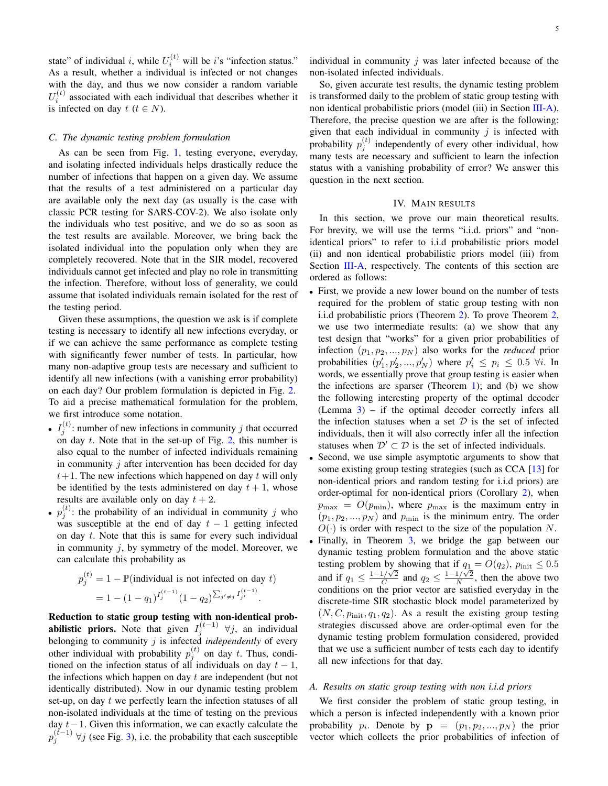state" of individual *i*, while  $U_i^{(t)}$  will be *i*'s "infection status." As a result, whether a individual is infected or not changes with the day, and thus we now consider a random variable  $U_i^{(t)}$  associated with each individual that describes whether it is infected on day  $t$  ( $t \in N$ ).

#### <span id="page-4-1"></span>*C. The dynamic testing problem formulation*

As can be seen from Fig. [1,](#page-1-0) testing everyone, everyday, and isolating infected individuals helps drastically reduce the number of infections that happen on a given day. We assume that the results of a test administered on a particular day are available only the next day (as usually is the case with classic PCR testing for SARS-COV-2). We also isolate only the individuals who test positive, and we do so as soon as the test results are available. Moreover, we bring back the isolated individual into the population only when they are completely recovered. Note that in the SIR model, recovered individuals cannot get infected and play no role in transmitting the infection. Therefore, without loss of generality, we could assume that isolated individuals remain isolated for the rest of the testing period.

Given these assumptions, the question we ask is if complete testing is necessary to identify all new infections everyday, or if we can achieve the same performance as complete testing with significantly fewer number of tests. In particular, how many non-adaptive group tests are necessary and sufficient to identify all new infections (with a vanishing error probability) on each day? Our problem formulation is depicted in Fig. [2.](#page-2-1) To aid a precise mathematical formulation for the problem, we first introduce some notation.

- $I_j^{(t)}$ : number of new infections in community j that occurred on day  $t$ . Note that in the set-up of Fig. [2,](#page-2-1) this number is also equal to the number of infected individuals remaining in community  $j$  after intervention has been decided for day  $t+1$ . The new infections which happened on day t will only be identified by the tests administered on day  $t + 1$ , whose results are available only on day  $t + 2$ .
- $p_j^{(t)}$ : the probability of an individual in community j who was susceptible at the end of day  $t - 1$  getting infected on day t. Note that this is same for every such individual in community  $i$ , by symmetry of the model. Moreover, we can calculate this probability as

$$
p_j^{(t)} = 1 - \mathbb{P}(\text{individual is not infected on day } t)
$$
  
=  $1 - (1 - q_1)^{I_j^{(t-1)}} (1 - q_2)^{\sum_{j' \neq j} I_{j'}^{(t-1)}}$ .

Reduction to static group testing with non-identical prob**abilistic priors.** Note that given  $I_j^{(t-1)}$   $\forall j$ , an individual belonging to community j is infected *independently* of every other individual with probability  $p_j^{(t)}$  on day t. Thus, conditioned on the infection status of all individuals on day  $t - 1$ , the infections which happen on day  $t$  are independent (but not identically distributed). Now in our dynamic testing problem set-up, on day t we perfectly learn the infection statuses of all non-isolated individuals at the time of testing on the previous day  $t-1$ . Given this information, we can exactly calculate the  $p_j^{(t-1)}$  ∀j (see Fig. [3\)](#page-5-0), i.e. the probability that each susceptible

individual in community  $j$  was later infected because of the non-isolated infected individuals.

So, given accurate test results, the dynamic testing problem is transformed daily to the problem of static group testing with non identical probabilistic priors (model (iii) in Section [III-A\)](#page-2-2). Therefore, the precise question we are after is the following: given that each individual in community  $j$  is infected with probability  $p_j^{(t)}$  independently of every other individual, how many tests are necessary and sufficient to learn the infection status with a vanishing probability of error? We answer this question in the next section.

#### IV. MAIN RESULTS

<span id="page-4-0"></span>In this section, we prove our main theoretical results. For brevity, we will use the terms "i.i.d. priors" and "nonidentical priors" to refer to i.i.d probabilistic priors model (ii) and non identical probabilistic priors model (iii) from Section [III-A,](#page-2-2) respectively. The contents of this section are ordered as follows:

- First, we provide a new lower bound on the number of tests required for the problem of static group testing with non i.i.d probabilistic priors (Theorem [2\)](#page-6-0). To prove Theorem [2,](#page-6-0) we use two intermediate results: (a) we show that any test design that "works" for a given prior probabilities of infection  $(p_1, p_2, ..., p_N)$  also works for the *reduced* prior probabilities  $(p'_1, p'_2, ..., p'_N)$  where  $p'_i \leq p_i \leq 0.5 \forall i$ . In words, we essentially prove that group testing is easier when the infections are sparser (Theorem [1\)](#page-6-1); and (b) we show the following interesting property of the optimal decoder (Lemma [3\)](#page-5-1) – if the optimal decoder correctly infers all the infection statuses when a set  $D$  is the set of infected individuals, then it will also correctly infer all the infection statuses when  $\mathcal{D}' \subset \mathcal{D}$  is the set of infected individuals.
- Second, we use simple asymptotic arguments to show that some existing group testing strategies (such as CCA [\[13\]](#page-9-7) for non-identical priors and random testing for i.i.d priors) are order-optimal for non-identical priors (Corollary [2\)](#page-7-1), when  $p_{\text{max}} = O(p_{\text{min}})$ , where  $p_{\text{max}}$  is the maximum entry in  $(p_1, p_2, ..., p_N)$  and  $p_{\text{min}}$  is the minimum entry. The order  $O(\cdot)$  is order with respect to the size of the population N.
- Finally, in Theorem [3,](#page-7-2) we bridge the gap between our dynamic testing problem formulation and the above static testing problem by showing that if  $q_1 = O(q_2)$ ,  $p_{init} \le 0.5$ and if  $q_1 \leq \frac{1-1/\sqrt{2}}{C}$ by showing that if  $q_1$ <br> $\frac{1/\sqrt{2}}{C}$  and  $q_2 \leq \frac{1-1/\sqrt{2}}{N}$  $\frac{1/\sqrt{2}}{N}$ , then the above two conditions on the prior vector are satisfied everyday in the discrete-time SIR stochastic block model parameterized by  $(N, C, p_{\text{init}}, q_1, q_2)$ . As a result the existing group testing strategies discussed above are order-optimal even for the dynamic testing problem formulation considered, provided that we use a sufficient number of tests each day to identify all new infections for that day.

### *A. Results on static group testing with non i.i.d priors*

We first consider the problem of static group testing, in which a person is infected independently with a known prior probability  $p_i$ . Denote by  $\mathbf{p} = (p_1, p_2, ..., p_N)$  the prior vector which collects the prior probabilities of infection of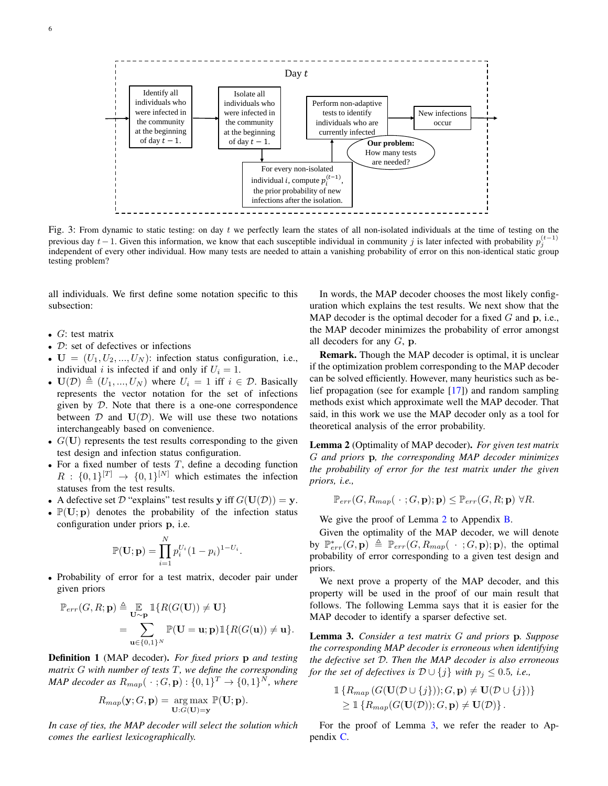<span id="page-5-0"></span>

Fig. 3: From dynamic to static testing: on day  $t$  we perfectly learn the states of all non-isolated individuals at the time of testing on the previous day  $t-1$ . Given this information, we know that each susceptible individual in community j is later infected with probability  $p_j^{(t-1)}$ independent of every other individual. How many tests are needed to attain a vanishing probability of error on this non-identical static group testing problem?

all individuals. We first define some notation specific to this subsection:

- $G$ : test matrix
- $D$ : set of defectives or infections
- $U = (U_1, U_2, ..., U_N)$ : infection status configuration, i.e., individual i is infected if and only if  $U_i = 1$ .
- $U(\mathcal{D}) \triangleq (U_1, ..., U_N)$  where  $U_i = 1$  iff  $i \in \mathcal{D}$ . Basically represents the vector notation for the set of infections given by  $D$ . Note that there is a one-one correspondence between  $D$  and  $U(D)$ . We will use these two notations interchangeably based on convenience.
- $G(U)$  represents the test results corresponding to the given test design and infection status configuration.
- For a fixed number of tests  $T$ , define a decoding function  $R: \{0,1\}^{[T]} \rightarrow \{0,1\}^{[N]}$  which estimates the infection statuses from the test results.
- A defective set  $\mathcal D$  "explains" test results y iff  $G(U(\mathcal D)) = v$ .
- $\mathbb{P}(\mathbf{U}; \mathbf{p})$  denotes the probability of the infection status configuration under priors p, i.e.

$$
\mathbb{P}(\mathbf{U}; \mathbf{p}) = \prod_{i=1}^{N} p_i^{U_i} (1 - p_i)^{1 - U_i}.
$$

• Probability of error for a test matrix, decoder pair under given priors

$$
\mathbb{P}_{err}(G, R; \mathbf{p}) \triangleq \mathop{\mathbb{E}}_{\mathbf{U} \sim \mathbf{p}} \mathbbm{1}\{R(G(\mathbf{U})) \neq \mathbf{U}\}
$$
  
= 
$$
\sum_{\mathbf{u} \in \{0,1\}^N} \mathbb{P}(\mathbf{U} = \mathbf{u}; \mathbf{p}) \mathbbm{1}\{R(G(\mathbf{u})) \neq \mathbf{u}\}.
$$

Definition 1 (MAP decoder). *For fixed priors* p *and testing matrix* G *with number of tests* T*, we define the corresponding MAP decoder as*  $R_{map}(\,\cdot\,;G,\mathbf{p}): \{0,1\}^T \to \{0,1\}^N$ , where

$$
R_{map}(\mathbf{y}; G, \mathbf{p}) = \underset{\mathbf{U}: G(\mathbf{U}) = \mathbf{y}}{\arg \max} \mathbb{P}(\mathbf{U}; \mathbf{p}).
$$

*In case of ties, the MAP decoder will select the solution which comes the earliest lexicographically.*

In words, the MAP decoder chooses the most likely configuration which explains the test results. We next show that the MAP decoder is the optimal decoder for a fixed  $G$  and  $p$ , i.e., the MAP decoder minimizes the probability of error amongst all decoders for any  $G$ , p.

Remark. Though the MAP decoder is optimal, it is unclear if the optimization problem corresponding to the MAP decoder can be solved efficiently. However, many heuristics such as belief propagation (see for example [\[17\]](#page-9-12)) and random sampling methods exist which approximate well the MAP decoder. That said, in this work we use the MAP decoder only as a tool for theoretical analysis of the error probability.

<span id="page-5-2"></span>Lemma 2 (Optimality of MAP decoder). *For given test matrix* G *and priors* p*, the corresponding MAP decoder minimizes the probability of error for the test matrix under the given priors, i.e.,*

 $\mathbb{P}_{err}(G, R_{map}(\ \cdot \ ; G, \mathbf{p}); \mathbf{p}) \leq \mathbb{P}_{err}(G, R; \mathbf{p}) \ \forall R.$ 

We give the proof of Lemma [2](#page-5-2) to Appendix [B.](#page-10-8)

Given the optimality of the MAP decoder, we will denote by  $\mathbb{P}_{err}^*(G, \mathbf{p}) \triangleq \mathbb{P}_{err}(G, R_{map}(\ \cdot \ ; G, \mathbf{p}); \mathbf{p}),$  the optimal probability of error corresponding to a given test design and priors.

We next prove a property of the MAP decoder, and this property will be used in the proof of our main result that follows. The following Lemma says that it is easier for the MAP decoder to identify a sparser defective set.

<span id="page-5-1"></span>Lemma 3. *Consider a test matrix* G *and priors* p*. Suppose the corresponding MAP decoder is erroneous when identifying the defective set* D*. Then the MAP decoder is also erroneous for the set of defectives is*  $D \cup \{j\}$  *with*  $p_j \leq 0.5$ *, i.e.,* 

 $\mathbb{1}\left\{R_{map}\left(G(\mathbf{U}(\mathcal{D}\cup\{j\}));G,\mathbf{p}\right)\neq \mathbf{U}(\mathcal{D}\cup\{j\})\right\}$  $\geq \mathbb{1} \left\{ R_{map}(G(\mathbf{U}(\mathcal{D})); G, \mathbf{p}) \neq \mathbf{U}(\mathcal{D}) \right\}.$ 

For the proof of Lemma [3,](#page-5-1) we refer the reader to Appendix [C.](#page-11-0)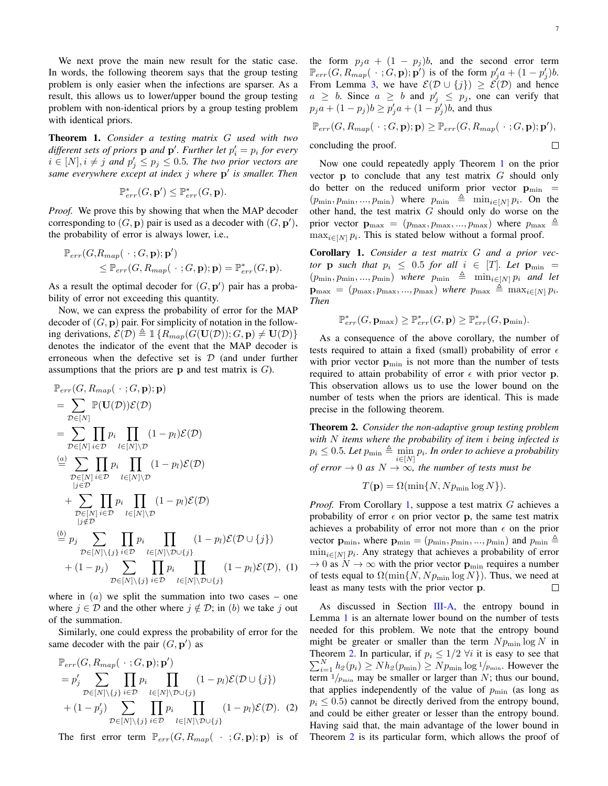We next prove the main new result for the static case. In words, the following theorem says that the group testing problem is only easier when the infections are sparser. As a result, this allows us to lower/upper bound the group testing problem with non-identical priors by a group testing problem with identical priors.

<span id="page-6-1"></span>Theorem 1. *Consider a testing matrix* G *used with two* different sets of priors  $\bf{p}$  and  $\bf{p}'$ . Further let  $p'_i = p_i$  for every  $i \in [N], i \neq j$  and  $p'_j \leq p_j \leq 0.5$ *. The two prior vectors are same everywhere except at index* j *where* p 0 *is smaller. Then*

$$
\mathbb{P}_{err}^*(G, \mathbf{p}') \le \mathbb{P}_{err}^*(G, \mathbf{p}).
$$

*Proof.* We prove this by showing that when the MAP decoder corresponding to  $(G, \mathbf{p})$  pair is used as a decoder with  $(G, \mathbf{p}')$ , the probability of error is always lower, i.e.,

$$
\mathbb{P}_{err}(G, R_{map}(\cdot \; ; G, \mathbf{p}); \mathbf{p}') \leq \mathbb{P}_{err}(G, R_{map}(\cdot \; ; G, \mathbf{p}); \mathbf{p}) = \mathbb{P}_{err}^*(G, \mathbf{p}).
$$

As a result the optimal decoder for  $(G, \mathbf{p}')$  pair has a probability of error not exceeding this quantity.

Now, we can express the probability of error for the MAP decoder of  $(G, \mathbf{p})$  pair. For simplicity of notation in the following derivations,  $\mathcal{E}(\mathcal{D}) \triangleq \mathbb{1} \{ R_{map}(G(\mathbf{U}(\mathcal{D})); G, \mathbf{p}) \neq \mathbf{U}(\mathcal{D}) \}$ denotes the indicator of the event that the MAP decoder is erroneous when the defective set is  $D$  (and under further assumptions that the priors are  $p$  and test matrix is  $G$ ).

$$
\mathbb{P}_{err}(G, R_{map}(\cdot ; G, \mathbf{p}); \mathbf{p})
$$
\n
$$
= \sum_{\mathcal{D} \in [N]} \mathbb{P}(\mathbf{U}(\mathcal{D})) \mathcal{E}(\mathcal{D})
$$
\n
$$
= \sum_{\mathcal{D} \in [N]} \prod_{i \in \mathcal{D}} p_i \prod_{l \in [N] \setminus \mathcal{D}} (1 - p_l) \mathcal{E}(\mathcal{D})
$$
\n
$$
\stackrel{(a)}{=} \sum_{\substack{\mathcal{D} \in [N] \\ j \in \mathcal{D}}} \prod_{i \in \mathcal{D}} p_i \prod_{l \in [N] \setminus \mathcal{D}} (1 - p_l) \mathcal{E}(\mathcal{D})
$$
\n
$$
+ \sum_{\substack{\mathcal{D} \in [N] \\ j \notin \mathcal{D}}} \prod_{i \in \mathcal{D}} p_i \prod_{l \in [N] \setminus \mathcal{D}} (1 - p_l) \mathcal{E}(\mathcal{D})
$$
\n
$$
\stackrel{(b)}{=} p_j \sum_{\substack{\mathcal{D} \in [N] \\ \mathcal{D} \in [N] \setminus \{j\}}} \prod_{i \in \mathcal{D}} p_i \prod_{l \in [N] \setminus \mathcal{D} \cup \{j\}}
$$
\n
$$
+ (1 - p_j) \sum_{\mathcal{D} \in [N] \setminus \{j\}} \prod_{i \in \mathcal{D}} p_i \prod_{l \in [N] \setminus \mathcal{D} \cup \{j\}}
$$
\n
$$
+ (1 - p_l) \mathcal{E}(\mathcal{D}), (1)
$$

where in  $(a)$  we split the summation into two cases – one where  $j \in \mathcal{D}$  and the other where  $j \notin \mathcal{D}$ ; in (b) we take j out of the summation.

Similarly, one could express the probability of error for the same decoder with the pair  $(G, \mathbf{p}')$  as

$$
\mathbb{P}_{err}(G, R_{map}(\cdot ; G, \mathbf{p}); \mathbf{p}') = p'_j \sum_{\mathcal{D} \in [N] \setminus \{j\}} \prod_{i \in \mathcal{D}} p_i \prod_{l \in [N] \setminus \mathcal{D} \cup \{j\}} (1 - p_l) \mathcal{E}(\mathcal{D} \cup \{j\}) + (1 - p'_j) \sum_{\mathcal{D} \in [N] \setminus \{j\}} \prod_{i \in \mathcal{D}} p_i \prod_{l \in [N] \setminus \mathcal{D} \cup \{j\}} (1 - p_l) \mathcal{E}(\mathcal{D}). \tag{2}
$$

The first error term  $\mathbb{P}_{err}(G, R_{map}(\cdot;\mathbf{G}, \mathbf{p}); \mathbf{p})$  is of

the form  $p_j a + (1 - p_j) b$ , and the second error term  $\mathbb{P}_{err}(G, R_{map}(\cdot; G, \mathbf{p}); \mathbf{p}')$  is of the form  $p'_j a + (1 - p'_j)b$ . From Lemma [3,](#page-5-1) we have  $\mathcal{E}(\mathcal{D} \cup \{j\}) \geq \mathcal{E}(\mathcal{D})$  and hence  $a \geq b$ . Since  $a \geq b$  and  $p'_j \leq p_j$ , one can verify that  $p_j a + (1 - p_j) b \ge p'_j a + (1 - p'_j) b$ , and thus

$$
\mathbb{P}_{err}(G, R_{map}(\ \cdot \ ; G, \mathbf{p}); \mathbf{p}) \geq \mathbb{P}_{err}(G, R_{map}(\ \cdot \ ; G, \mathbf{p}); \mathbf{p}'),
$$
  
concluding the proof.

Now one could repeatedly apply Theorem [1](#page-6-1) on the prior vector  $\bf{p}$  to conclude that any test matrix  $G$  should only do better on the reduced uniform prior vector  $\mathbf{p}_{\min}$  =  $(p_{\min}, p_{\min}, ..., p_{\min})$  where  $p_{\min} \triangleq \min_{i \in [N]} p_i$ . On the other hand, the test matrix  $G$  should only do worse on the prior vector  $\mathbf{p}_{\text{max}} = (p_{\text{max}}, p_{\text{max}}, ..., p_{\text{max}})$  where  $p_{\text{max}} \triangleq$  $\max_{i \in [N]} p_i$ . This is stated below without a formal proof.

<span id="page-6-2"></span>Corollary 1. *Consider a test matrix* G *and a prior vector* **p** *such that*  $p_i \leq 0.5$  *for all*  $i \in [T]$ *. Let*  $\mathbf{p}_{\min}$  =  $(p_{\min}, p_{\min}, ..., p_{\min})$  *where*  $p_{\min} \triangleq \min_{i \in [N]} p_i$  *and let*  $\mathbf{p}_{\text{max}} = (p_{\text{max}}, p_{\text{max}}, ..., p_{\text{max}})$  *where*  $p_{\text{max}} \triangleq \max_{i \in [N]} p_i$ . *Then*

$$
\mathbb{P}_{err}^*(G, \mathbf{p}_{\max}) \geq \mathbb{P}_{err}^*(G, \mathbf{p}) \geq \mathbb{P}_{err}^*(G, \mathbf{p}_{\min}).
$$

As a consequence of the above corollary, the number of tests required to attain a fixed (small) probability of error  $\epsilon$ with prior vector  $\mathbf{p}_{\min}$  is not more than the number of tests required to attain probability of error  $\epsilon$  with prior vector p. This observation allows us to use the lower bound on the number of tests when the priors are identical. This is made precise in the following theorem.

<span id="page-6-0"></span>Theorem 2. *Consider the non-adaptive group testing problem with* N *items where the probability of item* i *being infected is*  $p_i \leq 0.5$ *. Let*  $p_{\min} \triangleq \min_{i \in [N]} p_i$ *. In order to achieve a probability of error*  $\rightarrow$  0 *as*  $N \rightarrow \infty$ *, the number of tests must be* 

$$
T(\mathbf{p}) = \Omega(\min\{N, N p_{\min} \log N\}).
$$

*Proof.* From Corollary [1,](#page-6-2) suppose a test matrix G achieves a probability of error  $\epsilon$  on prior vector p, the same test matrix achieves a probability of error not more than  $\epsilon$  on the prior vector  $\mathbf{p}_{\min}$ , where  $\mathbf{p}_{\min} = (p_{\min}, p_{\min}, ..., p_{\min})$  and  $p_{\min} \triangleq$  $\min_{i \in [N]} p_i$ . Any strategy that achieves a probability of error  $\rightarrow$  0 as  $N \rightarrow \infty$  with the prior vector  $\mathbf{p}_{\min}$  requires a number of tests equal to  $\Omega(\min\{N, N p_{\min} \log N\})$ . Thus, we need at least as many tests with the prior vector p.  $\Box$ 

As discussed in Section [III-A,](#page-2-2) the entropy bound in Lemma [1](#page-3-0) is an alternate lower bound on the number of tests needed for this problem. We note that the entropy bound might be greater or smaller than the term  $N p_{\text{min}} \log N$  in  $\sum_{i=1}^{N} h_2(p_i) \geq Nh_2(p_{\min}) \geq Np_{\min} \log 1/p_{\min}$ . However the Theorem [2.](#page-6-0) In particular, if  $p_i \leq 1/2$   $\forall i$  it is easy to see that term  $1/p_{\text{min}}$  may be smaller or larger than N; thus our bound, that applies independently of the value of  $p_{\min}$  (as long as  $p_i \leq 0.5$ ) cannot be directly derived from the entropy bound, and could be either greater or lesser than the entropy bound. Having said that, the main advantage of the lower bound in Theorem [2](#page-6-0) is its particular form, which allows the proof of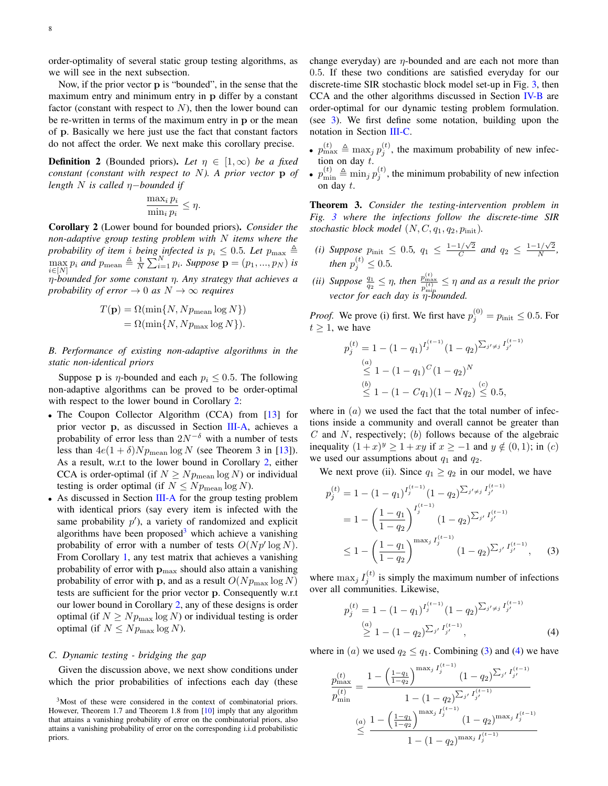order-optimality of several static group testing algorithms, as we will see in the next subsection.

Now, if the prior vector p is "bounded", in the sense that the maximum entry and minimum entry in p differ by a constant factor (constant with respect to  $N$ ), then the lower bound can be re-written in terms of the maximum entry in p or the mean of p. Basically we here just use the fact that constant factors do not affect the order. We next make this corollary precise.

**Definition 2** (Bounded priors). Let  $\eta \in [1,\infty)$  be a fixed *constant (constant with respect to* N*). A prior vector* p *of length* N *is called* η−*bounded if*

$$
\frac{\max_i p_i}{\min_i p_i} \le \eta.
$$

<span id="page-7-1"></span>Corollary 2 (Lower bound for bounded priors). *Consider the non-adaptive group testing problem with* N *items where the probability of item i being infected is*  $p_i \leq 0.5$ *. Let*  $p_{\text{max}} \triangleq$  $\max_{i \in [N]} p_i$  *and*  $p_{\text{mean}} \triangleq \frac{1}{N} \sum_{i=1}^{N} p_i$ . Suppose  $\mathbf{p} = (p_1, ..., p_N)$  *is* η*-bounded for some constant* η*. Any strategy that achieves a probability of error*  $\rightarrow$  0 *as*  $N \rightarrow \infty$  *requires* 

$$
T(\mathbf{p}) = \Omega(\min\{N, Np_{\text{mean}}\log N\})
$$
  
=  $\Omega(\min\{N, Np_{\text{max}}\log N\}).$ 

<span id="page-7-3"></span>*B. Performance of existing non-adaptive algorithms in the static non-identical priors*

Suppose p is  $\eta$ -bounded and each  $p_i \leq 0.5$ . The following non-adaptive algorithms can be proved to be order-optimal with respect to the lower bound in Corollary [2:](#page-7-1)

- The Coupon Collector Algorithm (CCA) from [\[13\]](#page-9-7) for prior vector p, as discussed in Section [III-A,](#page-2-2) achieves a probability of error less than  $2N^{-\delta}$  with a number of tests less than  $4e(1+\delta)Np_{\text{mean}}\log N$  (see Theorem 3 in [\[13\]](#page-9-7)). As a result, w.r.t to the lower bound in Corollary [2,](#page-7-1) either CCA is order-optimal (if  $N \geq N p_{\text{mean}} \log N$ ) or individual testing is order optimal (if  $N \leq N p_{\text{mean}} \log N$ ).
- As discussed in Section [III-A](#page-2-2) for the group testing problem with identical priors (say every item is infected with the same probability  $p'$ ), a variety of randomized and explicit algorithms have been proposed<sup>[3](#page-0-0)</sup> which achieve a vanishing probability of error with a number of tests  $O(Np' \log N)$ . From Corollary [1,](#page-6-2) any test matrix that achieves a vanishing probability of error with  $\mathbf{p}_{\text{max}}$  should also attain a vanishing probability of error with **p**, and as a result  $O(Np_{\text{max}} \log N)$ tests are sufficient for the prior vector p. Consequently w.r.t our lower bound in Corollary [2,](#page-7-1) any of these designs is order optimal (if  $N \geq N p_{\text{max}} \log N$ ) or individual testing is order optimal (if  $N \leq N p_{\text{max}} \log N$ ).

#### <span id="page-7-0"></span>*C. Dynamic testing - bridging the gap*

Given the discussion above, we next show conditions under which the prior probabilities of infections each day (these change everyday) are  $\eta$ -bounded and are each not more than 0.5. If these two conditions are satisfied everyday for our discrete-time SIR stochastic block model set-up in Fig. [3,](#page-5-0) then CCA and the other algorithms discussed in Section [IV-B](#page-7-3) are order-optimal for our dynamic testing problem formulation. (see [3\)](#page-5-0). We first define some notation, building upon the notation in Section [III-C.](#page-4-1)

- $p_{\text{max}}^{(t)} \triangleq \max_j p_j^{(t)}$ , the maximum probability of new infection on day t.
- $p_{\min}^{(t)} \triangleq \min_j p_j^{(t)}$ , the minimum probability of new infection on day t.

<span id="page-7-2"></span>Theorem 3. *Consider the testing-intervention problem in Fig. [3](#page-5-0) where the infections follow the discrete-time SIR stochastic block model*  $(N, C, q_1, q_2, p_{\text{init}})$ *.* 

- *(i) Suppose*  $p_{\text{init}} \leq 0.5$ ,  $q_1 \leq \frac{1-1/\sqrt{2}}{C}$  $\frac{1/\sqrt{2}}{C}$  and  $q_2 \leq \frac{1-1/\sqrt{2}}{N}$  $\frac{1/\sqrt{2}}{N},$ then  $p_j^{(t)} \leq 0.5$ .
- *(ii) Suppose*  $\frac{q_1}{q_2} \leq \eta$ *, then*  $\frac{p_{\max}^{(t)}}{p_{\min}^{(t)}} \leq \eta$  *and as a result the prior vector for each day is* η*-bounded.*

*Proof.* We prove (i) first. We first have  $p_j^{(0)} = p_{\text{init}} \le 0.5$ . For  $t > 1$ , we have

$$
p_j^{(t)} = 1 - (1 - q_1)^{I_j^{(t-1)}} (1 - q_2)^{\sum_{j' \neq j} I_{j'}^{(t-1)}}
$$
  
\n
$$
\leq (1 - (1 - q_1)^C (1 - q_2)^N
$$
  
\n
$$
\leq (1 - (1 - Cq_1)(1 - Nq_2)) \leq 0.5,
$$

where in  $(a)$  we used the fact that the total number of infections inside a community and overall cannot be greater than  $C$  and  $N$ , respectively; (b) follows because of the algebraic inequality  $(1+x)^y \ge 1+xy$  if  $x \ge -1$  and  $y \notin (0,1)$ ; in  $(c)$ we used our assumptions about  $q_1$  and  $q_2$ .

We next prove (ii). Since  $q_1 \ge q_2$  in our model, we have

$$
p_j^{(t)} = 1 - (1 - q_1)^{I_j^{(t-1)}} (1 - q_2)^{\sum_{j' \neq j} I_{j'}^{(t-1)}}
$$
  
= 
$$
1 - \left(\frac{1 - q_1}{1 - q_2}\right)^{I_j^{(t-1)}} (1 - q_2)^{\sum_{j'} I_{j'}^{(t-1)}}
$$
  

$$
\leq 1 - \left(\frac{1 - q_1}{1 - q_2}\right)^{\max_j I_j^{(t-1)}} (1 - q_2)^{\sum_{j'} I_{j'}^{(t-1)}}, \quad (3)
$$

where  $\max_j I_j^{(t)}$  is simply the maximum number of infections over all communities. Likewise,

<span id="page-7-5"></span><span id="page-7-4"></span>
$$
p_j^{(t)} = 1 - (1 - q_1)^{I_j^{(t-1)}} (1 - q_2)^{\sum_{j' \neq j} I_{j'}^{(t-1)}}
$$
  
\n
$$
\geq 1 - (1 - q_2)^{\sum_{j'} I_{j'}^{(t-1)}},
$$
\n(4)

where in (a) we used  $q_2 \leq q_1$ . Combining [\(3\)](#page-7-4) and [\(4\)](#page-7-5) we have

$$
\frac{p_{\max}^{(t)}}{p_{\min}^{(t)}} = \frac{1 - \left(\frac{1 - q_1}{1 - q_2}\right)^{\max_j I_j^{(t-1)}} (1 - q_2)^{\sum_{j'} I_{j'}^{(t-1)}}}{1 - (1 - q_2)^{\sum_{j'} I_{j'}^{(t-1)}}}
$$
\n
$$
\leq \frac{1 - \left(\frac{1 - q_1}{1 - q_2}\right)^{\max_j I_j^{(t-1)}} (1 - q_2)^{\max_j I_j^{(t-1)}}}{1 - (1 - q_2)^{\max_j I_j^{(t-1)}}}
$$

<sup>3</sup>Most of these were considered in the context of combinatorial priors. However, Theorem 1.7 and Theorem 1.8 from [\[10\]](#page-9-4) imply that any algorithm that attains a vanishing probability of error on the combinatorial priors, also attains a vanishing probability of error on the corresponding i.i.d probabilistic priors.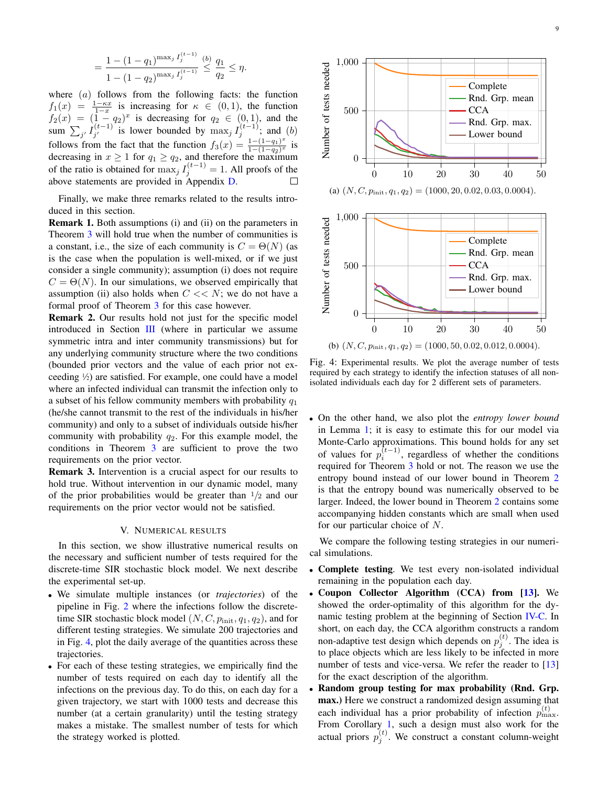$$
= \frac{1 - (1 - q_1)^{\max_j I_j^{(t-1)}}}{1 - (1 - q_2)^{\max_j I_j^{(t-1)}}} \stackrel{(b)}{\leq} \frac{q_1}{q_2} \leq \eta.
$$

where  $(a)$  follows from the following facts: the function  $f_1(x) = \frac{1-\kappa x}{1-x}$  is increasing for  $\kappa \in (0,1)$ , the function  $f_2(x) = (1 - q_2)^x$  is decreasing for  $q_2 \in (0, 1)$ , and the sum  $\sum_{j'} I_{j'}^{(t-1)}$  $j'$  is lower bounded by  $\max_j I_j^{(t-1)}$ ; and  $(b)$ follows from the fact that the function  $f_3(x) = \frac{1-(1-q_1)^x}{1-(1-q_2)^x}$  $\frac{1-(1-q_1)}{1-(1-q_2)^x}$  is decreasing in  $x \ge 1$  for  $q_1 \ge q_2$ , and therefore the maximum of the ratio is obtained for  $\max_j I_j^{(t-1)} = 1$ . All proofs of the above statements are provided in Appendix [D.](#page-11-1)

Finally, we make three remarks related to the results introduced in this section.

Remark 1. Both assumptions (i) and (ii) on the parameters in Theorem [3](#page-7-2) will hold true when the number of communities is a constant, i.e., the size of each community is  $C = \Theta(N)$  (as is the case when the population is well-mixed, or if we just consider a single community); assumption (i) does not require  $C = \Theta(N)$ . In our simulations, we observed empirically that assumption (ii) also holds when  $C \ll N$ ; we do not have a formal proof of Theorem [3](#page-7-2) for this case however.

Remark 2. Our results hold not just for the specific model introduced in Section [III](#page-2-0) (where in particular we assume symmetric intra and inter community transmissions) but for any underlying community structure where the two conditions (bounded prior vectors and the value of each prior not exceeding <sup>1</sup> ⁄2) are satisfied. For example, one could have a model where an infected individual can transmit the infection only to a subset of his fellow community members with probability  $q_1$ (he/she cannot transmit to the rest of the individuals in his/her community) and only to a subset of individuals outside his/her community with probability  $q_2$ . For this example model, the conditions in Theorem [3](#page-7-2) are sufficient to prove the two requirements on the prior vector.

Remark 3. Intervention is a crucial aspect for our results to hold true. Without intervention in our dynamic model, many of the prior probabilities would be greater than  $\frac{1}{2}$  and our requirements on the prior vector would not be satisfied.

#### V. NUMERICAL RESULTS

<span id="page-8-0"></span>In this section, we show illustrative numerical results on the necessary and sufficient number of tests required for the discrete-time SIR stochastic block model. We next describe the experimental set-up.

- We simulate multiple instances (or *trajectories*) of the pipeline in Fig. [2](#page-2-1) where the infections follow the discretetime SIR stochastic block model  $(N, C, p_{\text{init}}, q_1, q_2)$ , and for different testing strategies. We simulate 200 trajectories and in Fig. [4,](#page-8-1) plot the daily average of the quantities across these trajectories.
- For each of these testing strategies, we empirically find the number of tests required on each day to identify all the infections on the previous day. To do this, on each day for a given trajectory, we start with 1000 tests and decrease this number (at a certain granularity) until the testing strategy makes a mistake. The smallest number of tests for which the strategy worked is plotted.

<span id="page-8-1"></span>



Fig. 4: Experimental results. We plot the average number of tests required by each strategy to identify the infection statuses of all nonisolated individuals each day for 2 different sets of parameters.

• On the other hand, we also plot the *entropy lower bound* in Lemma [1;](#page-3-0) it is easy to estimate this for our model via Monte-Carlo approximations. This bound holds for any set of values for  $p_i^{(t-1)}$ , regardless of whether the conditions required for Theorem [3](#page-7-2) hold or not. The reason we use the entropy bound instead of our lower bound in Theorem [2](#page-6-0) is that the entropy bound was numerically observed to be larger. Indeed, the lower bound in Theorem [2](#page-6-0) contains some accompanying hidden constants which are small when used for our particular choice of N.

We compare the following testing strategies in our numerical simulations.

- Complete testing. We test every non-isolated individual remaining in the population each day.
- Coupon Collector Algorithm (CCA) from [\[13\]](#page-9-7). We showed the order-optimality of this algorithm for the dynamic testing problem at the beginning of Section [IV-C.](#page-7-0) In short, on each day, the CCA algorithm constructs a random non-adaptive test design which depends on  $p_j^{(t)}$ . The idea is to place objects which are less likely to be infected in more number of tests and vice-versa. We refer the reader to [\[13\]](#page-9-7) for the exact description of the algorithm.
- Random group testing for max probability (Rnd. Grp. max.) Here we construct a randomized design assuming that each individual has a prior probability of infection  $p_{\text{max}}^{(t)}$ . From Corollary [1,](#page-6-2) such a design must also work for the actual priors  $p_j^{(t)}$ . We construct a constant column-weight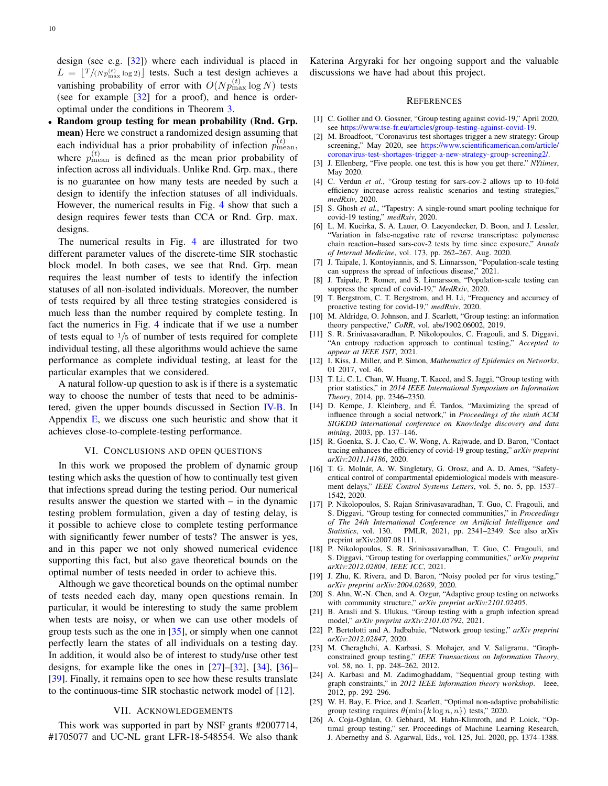design (see e.g. [\[32\]](#page-10-4)) where each individual is placed in  $L = \left\lfloor \frac{T}{Np_{\text{max}}^{(t)}} \log 2 \right\rfloor$  tests. Such a test design achieves a vanishing probability of error with  $O(Np_{\max}^{(t)}) \log N$ ) tests (see for example [\[32\]](#page-10-4) for a proof), and hence is orderoptimal under the conditions in Theorem [3.](#page-7-2)

• Random group testing for mean probability (Rnd. Grp. mean) Here we construct a randomized design assuming that each individual has a prior probability of infection  $p_{\text{mean}}^{(t)}$ , where  $p_{\text{mean}}^{(t)}$  is defined as the mean prior probability of infection across all individuals. Unlike Rnd. Grp. max., there is no guarantee on how many tests are needed by such a design to identify the infection statuses of all individuals. However, the numerical results in Fig. [4](#page-8-1) show that such a design requires fewer tests than CCA or Rnd. Grp. max. designs.

The numerical results in Fig. [4](#page-8-1) are illustrated for two different parameter values of the discrete-time SIR stochastic block model. In both cases, we see that Rnd. Grp. mean requires the least number of tests to identify the infection statuses of all non-isolated individuals. Moreover, the number of tests required by all three testing strategies considered is much less than the number required by complete testing. In fact the numerics in Fig. [4](#page-8-1) indicate that if we use a number of tests equal to  $\frac{1}{5}$  of number of tests required for complete individual testing, all these algorithms would achieve the same performance as complete individual testing, at least for the particular examples that we considered.

A natural follow-up question to ask is if there is a systematic way to choose the number of tests that need to be administered, given the upper bounds discussed in Section [IV-B.](#page-7-3) In Appendix [E,](#page-12-0) we discuss one such heuristic and show that it achieves close-to-complete-testing performance.

#### VI. CONCLUSIONS AND OPEN QUESTIONS

In this work we proposed the problem of dynamic group testing which asks the question of how to continually test given that infections spread during the testing period. Our numerical results answer the question we started with – in the dynamic testing problem formulation, given a day of testing delay, is it possible to achieve close to complete testing performance with significantly fewer number of tests? The answer is yes, and in this paper we not only showed numerical evidence supporting this fact, but also gave theoretical bounds on the optimal number of tests needed in order to achieve this.

Although we gave theoretical bounds on the optimal number of tests needed each day, many open questions remain. In particular, it would be interesting to study the same problem when tests are noisy, or when we can use other models of group tests such as the one in  $[35]$ , or simply when one cannot perfectly learn the states of all individuals on a testing day. In addition, it would also be of interest to study/use other test designs, for example like the ones in [\[27\]](#page-10-7)–[\[32\]](#page-10-4), [\[34\]](#page-10-6), [\[36\]](#page-10-10)– [\[39\]](#page-10-11). Finally, it remains open to see how these results translate to the continuous-time SIR stochastic network model of [\[12\]](#page-9-6).

# VII. ACKNOWLEDGEMENTS

This work was supported in part by NSF grants #2007714, #1705077 and UC-NL grant LFR-18-548554. We also thank Katerina Argyraki for her ongoing support and the valuable discussions we have had about this project.

#### **REFERENCES**

- <span id="page-9-0"></span>[1] C. Gollier and O. Gossner, "Group testing against covid-19," April 2020, see [https://www.tse-fr.eu/articles/group-testing-against-covid-19.](https://www.tse-fr.eu/articles/group-testing-against-covid-19)
- [2] M. Broadfoot, "Coronavirus test shortages trigger a new strategy: Group screening," May 2020, see [https://www.scientificamerican.com/article/](https://www.scientificamerican.com/article/coronavirus-test-shortages-trigger-a-new-strategy-group-screening2/) [coronavirus-test-shortages-trigger-a-new-strategy-group-screening2/.](https://www.scientificamerican.com/article/coronavirus-test-shortages-trigger-a-new-strategy-group-screening2/)
- [3] J. Ellenberg, "Five people. one test. this is how you get there." *NYtimes*, May 2020.
- [4] C. Verdun *et al.*, "Group testing for sars-cov-2 allows up to 10-fold efficiency increase across realistic scenarios and testing strategies," *medRxiv*, 2020.
- [5] S. Ghosh *et al.*, "Tapestry: A single-round smart pooling technique for covid-19 testing," *medRxiv*, 2020.
- <span id="page-9-1"></span>[6] L. M. Kucirka, S. A. Lauer, O. Laeyendecker, D. Boon, and J. Lessler, Variation in false-negative rate of reverse transcriptase polymerase chain reaction–based sars-cov-2 tests by time since exposure," *Annals of Internal Medicine*, vol. 173, pp. 262–267, Aug. 2020.
- <span id="page-9-2"></span>[7] J. Taipale, I. Kontoyiannis, and S. Linnarsson, "Population-scale testing can suppress the spread of infectious disease," 2021.
- <span id="page-9-10"></span>[8] J. Taipale, P. Romer, and S. Linnarsson, "Population-scale testing can suppress the spread of covid-19," *MedRxiv*, 2020.
- <span id="page-9-3"></span>[9] T. Bergstrom, C. T. Bergstrom, and H. Li, "Frequency and accuracy of proactive testing for covid-19," *medRxiv*, 2020.
- <span id="page-9-4"></span>[10] M. Aldridge, O. Johnson, and J. Scarlett, "Group testing: an information theory perspective," *CoRR*, vol. abs/1902.06002, 2019.
- <span id="page-9-5"></span>[11] S. R. Srinivasavaradhan, P. Nikolopoulos, C. Fragouli, and S. Diggavi, "An entropy reduction approach to continual testing," *Accepted to appear at IEEE ISIT*, 2021.
- <span id="page-9-6"></span>[12] I. Kiss, J. Miller, and P. Simon, *Mathematics of Epidemics on Networks*, 01 2017, vol. 46.
- <span id="page-9-7"></span>[13] T. Li, C. L. Chan, W. Huang, T. Kaced, and S. Jaggi, "Group testing with prior statistics," in *2014 IEEE International Symposium on Information Theory*, 2014, pp. 2346–2350.
- <span id="page-9-8"></span>[14] D. Kempe, J. Kleinberg, and É. Tardos, "Maximizing the spread of influence through a social network," in *Proceedings of the ninth ACM SIGKDD international conference on Knowledge discovery and data mining*, 2003, pp. 137–146.
- <span id="page-9-9"></span>[15] R. Goenka, S.-J. Cao, C.-W. Wong, A. Rajwade, and D. Baron, "Contact tracing enhances the efficiency of covid-19 group testing," *arXiv preprint arXiv:2011.14186*, 2020.
- <span id="page-9-11"></span>[16] T. G. Molnár, A. W. Singletary, G. Orosz, and A. D. Ames, "Safetycritical control of compartmental epidemiological models with measurement delays," *IEEE Control Systems Letters*, vol. 5, no. 5, pp. 1537– 1542, 2020.
- <span id="page-9-12"></span>[17] P. Nikolopoulos, S. Rajan Srinivasavaradhan, T. Guo, C. Fragouli, and S. Diggavi, "Group testing for connected communities," in *Proceedings of The 24th International Conference on Artificial Intelligence and Statistics*, vol. 130. PMLR, 2021, pp. 2341–2349. See also arXiv preprint arXiv:2007.08 111.
- <span id="page-9-13"></span>[18] P. Nikolopoulos, S. R. Srinivasavaradhan, T. Guo, C. Fragouli, and S. Diggavi, "Group testing for overlapping communities," *arXiv preprint arXiv:2012.02804, IEEE ICC*, 2021.
- <span id="page-9-14"></span>[19] J. Zhu, K. Rivera, and D. Baron, "Noisy pooled pcr for virus testing," *arXiv preprint arXiv:2004.02689*, 2020.
- <span id="page-9-15"></span>[20] S. Ahn, W.-N. Chen, and A. Ozgur, "Adaptive group testing on networks with community structure," *arXiv preprint arXiv:2101.02405*.
- [21] B. Arasli and S. Ulukus, "Group testing with a graph infection spread model," *arXiv preprint arXiv:2101.05792*, 2021.
- <span id="page-9-16"></span>[22] P. Bertolotti and A. Jadbabaie, "Network group testing," *arXiv preprint arXiv:2012.02847*, 2020.
- <span id="page-9-17"></span>[23] M. Cheraghchi, A. Karbasi, S. Mohajer, and V. Saligrama, "Graphconstrained group testing," *IEEE Transactions on Information Theory*, vol. 58, no. 1, pp. 248–262, 2012.
- <span id="page-9-18"></span>[24] A. Karbasi and M. Zadimoghaddam, "Sequential group testing with graph constraints," in *2012 IEEE information theory workshop*. Ieee, 2012, pp. 292–296.
- <span id="page-9-19"></span>[25] W. H. Bay, E. Price, and J. Scarlett, "Optimal non-adaptive probabilistic group testing requires  $\theta(\min\{k \log n, n\})$  tests," 2020.
- <span id="page-9-20"></span>[26] A. Coja-Oghlan, O. Gebhard, M. Hahn-Klimroth, and P. Loick, "Optimal group testing," ser. Proceedings of Machine Learning Research, J. Abernethy and S. Agarwal, Eds., vol. 125, Jul. 2020, pp. 1374–1388.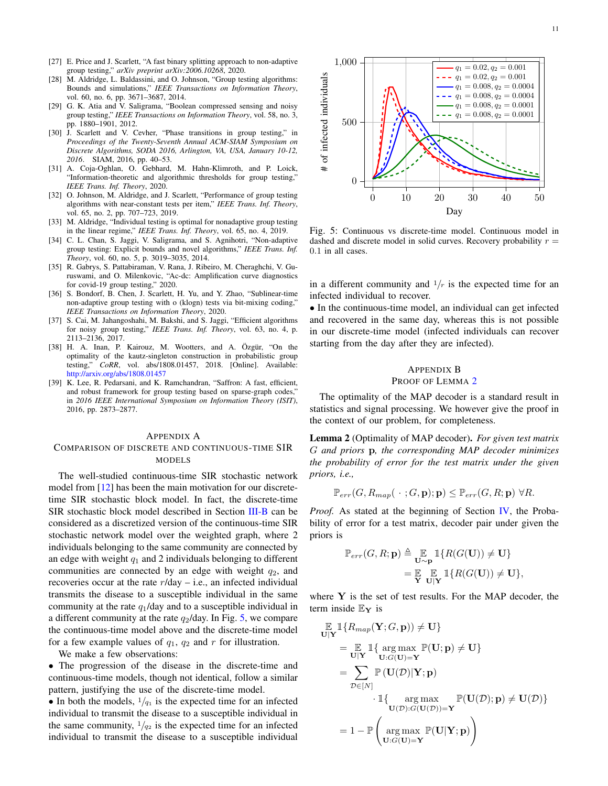- <span id="page-10-7"></span>[27] E. Price and J. Scarlett, "A fast binary splitting approach to non-adaptive group testing," *arXiv preprint arXiv:2006.10268*, 2020.
- <span id="page-10-1"></span>[28] M. Aldridge, L. Baldassini, and O. Johnson, "Group testing algorithms: Bounds and simulations," *IEEE Transactions on Information Theory*, vol. 60, no. 6, pp. 3671–3687, 2014.
- [29] G. K. Atia and V. Saligrama, "Boolean compressed sensing and noisy group testing," *IEEE Transactions on Information Theory*, vol. 58, no. 3, pp. 1880–1901, 2012.
- <span id="page-10-2"></span>[30] J. Scarlett and V. Cevher, "Phase transitions in group testing," in *Proceedings of the Twenty-Seventh Annual ACM-SIAM Symposium on Discrete Algorithms, SODA 2016, Arlington, VA, USA, January 10-12, 2016*. SIAM, 2016, pp. 40–53.
- <span id="page-10-3"></span>[31] A. Coja-Oghlan, O. Gebhard, M. Hahn-Klimroth, and P. Loick, "Information-theoretic and algorithmic thresholds for group testing," *IEEE Trans. Inf. Theory*, 2020.
- <span id="page-10-4"></span>[32] O. Johnson, M. Aldridge, and J. Scarlett, "Performance of group testing algorithms with near-constant tests per item," *IEEE Trans. Inf. Theory*, vol. 65, no. 2, pp. 707–723, 2019.
- <span id="page-10-5"></span>[33] M. Aldridge, "Individual testing is optimal for nonadaptive group testing in the linear regime," *IEEE Trans. Inf. Theory*, vol. 65, no. 4, 2019.
- <span id="page-10-6"></span>[34] C. L. Chan, S. Jaggi, V. Saligrama, and S. Agnihotri, "Non-adaptive group testing: Explicit bounds and novel algorithms," *IEEE Trans. Inf. Theory*, vol. 60, no. 5, p. 3019–3035, 2014.
- <span id="page-10-9"></span>[35] R. Gabrys, S. Pattabiraman, V. Rana, J. Ribeiro, M. Cheraghchi, V. Guruswami, and O. Milenkovic, "Ac-dc: Amplification curve diagnostics for covid-19 group testing," 2020.
- <span id="page-10-10"></span>[36] S. Bondorf, B. Chen, J. Scarlett, H. Yu, and Y. Zhao, "Sublinear-time non-adaptive group testing with o (klogn) tests via bit-mixing coding," *IEEE Transactions on Information Theory*, 2020.
- [37] S. Cai, M. Jahangoshahi, M. Bakshi, and S. Jaggi, "Efficient algorithms for noisy group testing," *IEEE Trans. Inf. Theory*, vol. 63, no. 4, p. 2113–2136, 2017.
- [38] H. A. Inan, P. Kairouz, M. Wootters, and A. Özgür, "On the optimality of the kautz-singleton construction in probabilistic group testing," *CoRR*, vol. abs/1808.01457, 2018. [Online]. Available: <http://arxiv.org/abs/1808.01457>
- <span id="page-10-11"></span>[39] K. Lee, R. Pedarsani, and K. Ramchandran, "Saffron: A fast, efficient, and robust framework for group testing based on sparse-graph codes,' in *2016 IEEE International Symposium on Information Theory (ISIT)*, 2016, pp. 2873–2877.

#### <span id="page-10-0"></span>APPENDIX A

# COMPARISON OF DISCRETE AND CONTINUOUS-TIME SIR MODELS

The well-studied continuous-time SIR stochastic network model from [\[12\]](#page-9-6) has been the main motivation for our discretetime SIR stochastic block model. In fact, the discrete-time SIR stochastic block model described in Section [III-B](#page-3-1) can be considered as a discretized version of the continuous-time SIR stochastic network model over the weighted graph, where 2 individuals belonging to the same community are connected by an edge with weight  $q_1$  and 2 individuals belonging to different communities are connected by an edge with weight  $q_2$ , and recoveries occur at the rate  $r/day$  – i.e., an infected individual transmits the disease to a susceptible individual in the same community at the rate  $q_1$ /day and to a susceptible individual in a different community at the rate  $q_2$ /day. In Fig. [5,](#page-10-12) we compare the continuous-time model above and the discrete-time model for a few example values of  $q_1$ ,  $q_2$  and r for illustration.

We make a few observations:

• The progression of the disease in the discrete-time and continuous-time models, though not identical, follow a similar pattern, justifying the use of the discrete-time model.

• In both the models,  $1/q_1$  is the expected time for an infected individual to transmit the disease to a susceptible individual in the same community,  $1/q_2$  is the expected time for an infected individual to transmit the disease to a susceptible individual

<span id="page-10-12"></span>

Fig. 5: Continuous vs discrete-time model. Continuous model in dashed and discrete model in solid curves. Recovery probability  $r =$ 0.1 in all cases.

in a different community and  $1/r$  is the expected time for an infected individual to recover.

• In the continuous-time model, an individual can get infected and recovered in the same day, whereas this is not possible in our discrete-time model (infected individuals can recover starting from the day after they are infected).

# <span id="page-10-8"></span>APPENDIX B

# PROOF OF LEMMA [2](#page-5-2)

The optimality of the MAP decoder is a standard result in statistics and signal processing. We however give the proof in the context of our problem, for completeness.

Lemma 2 (Optimality of MAP decoder). *For given test matrix* G *and priors* p*, the corresponding MAP decoder minimizes the probability of error for the test matrix under the given priors, i.e.,*

$$
\mathbb{P}_{err}(G, R_{map}(\cdot \ ; G, \mathbf{p}); \mathbf{p}) \leq \mathbb{P}_{err}(G, R; \mathbf{p}) \ \forall R.
$$

*Proof.* As stated at the beginning of Section [IV,](#page-4-0) the Probability of error for a test matrix, decoder pair under given the priors is

$$
\begin{aligned} \mathbb{P}_{err}(G, R; \mathbf{p}) &\triangleq \mathop{\mathbb{E}}_{\mathbf{U} \sim \mathbf{p}} \mathbbm{1}\{R(G(\mathbf{U})) \neq \mathbf{U}\} \\ &= \mathop{\mathbb{E}}_{\mathbf{Y}} \mathop{\mathbb{E}}_{\mathbf{U}|\mathbf{Y}} \mathbbm{1}\{R(G(\mathbf{U})) \neq \mathbf{U}\}, \end{aligned}
$$

where  $Y$  is the set of test results. For the MAP decoder, the term inside  $\mathbb{E}_{\mathbf{Y}}$  is

$$
\mathbb{E} \mathbb{1}\{R_{map}(\mathbf{Y}; G, \mathbf{p})) \neq \mathbf{U}\}\n= \mathbb{E} \mathbb{1}\{\arg \max_{\mathbf{U}:G(\mathbf{U})=\mathbf{Y}} \mathbb{P}(\mathbf{U}; \mathbf{p}) \neq \mathbf{U}\}\n= \sum_{\mathcal{D} \in [N]} \mathbb{P}(\mathbf{U}(\mathcal{D}) | \mathbf{Y}; \mathbf{p})\n- \mathbb{1}\{\arg \max_{\mathbf{U}(\mathcal{D}):G(\mathbf{U}(\mathcal{D}))=\mathbf{Y}} \mathbb{P}(\mathbf{U}(\mathcal{D}); \mathbf{p}) \neq \mathbf{U}(\mathcal{D})\}\n= 1 - \mathbb{P}\left(\arg \max_{\mathbf{U}:G(\mathbf{U})=\mathbf{Y}} \mathbb{P}(\mathbf{U} | \mathbf{Y}; \mathbf{p})\right)
$$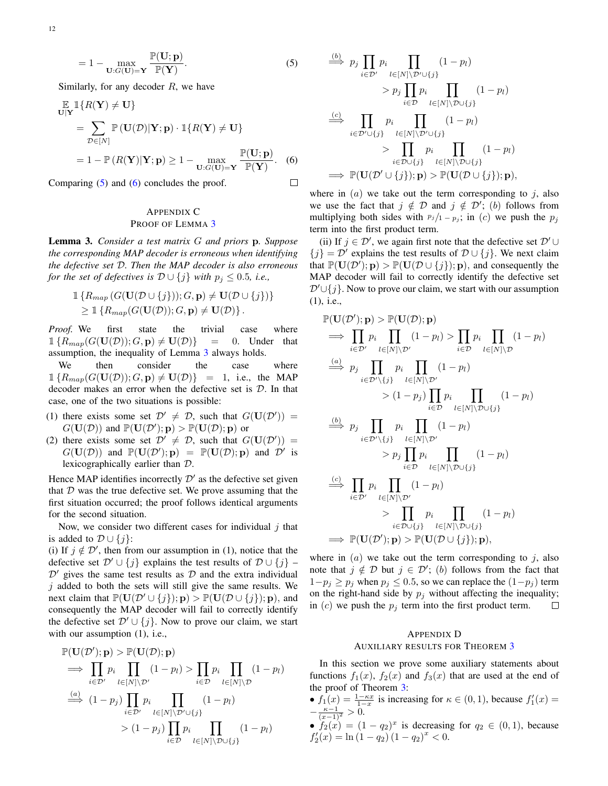$$
= 1 - \max_{\mathbf{U}: G(\mathbf{U}) = \mathbf{Y}} \frac{\mathbb{P}(\mathbf{U}; \mathbf{p})}{\mathbb{P}(\mathbf{Y})}.
$$
 (5)

Similarly, for any decoder  $R$ , we have

$$
\mathbb{E} \mathbb{1}\{R(\mathbf{Y}) \neq \mathbf{U}\}\n= \sum_{\mathcal{D} \in [N]} \mathbb{P}(\mathbf{U}(\mathcal{D})|\mathbf{Y}; \mathbf{p}) \cdot \mathbb{1}\{R(\mathbf{Y}) \neq \mathbf{U}\}\n= 1 - \mathbb{P}(R(\mathbf{Y})|\mathbf{Y}; \mathbf{p}) \ge 1 - \max_{\mathbf{U}: G(\mathbf{U}) = \mathbf{Y}} \frac{\mathbb{P}(\mathbf{U}; \mathbf{p})}{\mathbb{P}(\mathbf{Y})}. \tag{6}
$$

Comparing [\(5\)](#page-11-2) and [\(6\)](#page-11-3) concludes the proof.

# <span id="page-11-0"></span>APPENDIX C PROOF OF LEMMA [3](#page-5-1)

Lemma 3. *Consider a test matrix* G *and priors* p*. Suppose the corresponding MAP decoder is erroneous when identifying the defective set* D*. Then the MAP decoder is also erroneous for the set of defectives is*  $D \cup \{j\}$  *with*  $p_j \leq 0.5$ *, i.e.,* 

$$
\mathbb{1}\left\{R_{map}(G(\mathbf{U}(\mathcal{D}\cup\{j\}));G,\mathbf{p})\neq \mathbf{U}(\mathcal{D}\cup\{j\})\right\}\geq \mathbb{1}\left\{R_{map}(G(\mathbf{U}(\mathcal{D}));G,\mathbf{p})\neq \mathbf{U}(\mathcal{D})\right\}.
$$

*Proof.* We first state the trivial case where  $1\{R_{map}(G(\mathbf{U}(\mathcal{D})); G, \mathbf{p}) \neq \mathbf{U}(\mathcal{D})\} = 0$ . Under that assumption, the inequality of Lemma [3](#page-5-1) always holds.

We then consider the case where  $1\{R_{map}(G(\mathbf{U}(\mathcal{D})); G, \mathbf{p}) \neq \mathbf{U}(\mathcal{D})\} = 1$ , i.e., the MAP decoder makes an error when the defective set is D. In that case, one of the two situations is possible:

- (1) there exists some set  $\mathcal{D}' \neq \mathcal{D}$ , such that  $G(\mathbf{U}(\mathcal{D}')) =$  $G(\mathbf{U}(\mathcal{D}))$  and  $\mathbb{P}(\mathbf{U}(\mathcal{D}'); \mathbf{p}) > \mathbb{P}(\mathbf{U}(\mathcal{D}); \mathbf{p})$  or
- (2) there exists some set  $\mathcal{D}' \neq \mathcal{D}$ , such that  $G(\mathbf{U}(\mathcal{D}')) =$  $G(\mathbf{U}(\mathcal{D}))$  and  $\mathbb{P}(\mathbf{U}(\mathcal{D}');\mathbf{p}) = \mathbb{P}(\mathbf{U}(\mathcal{D});\mathbf{p})$  and  $\mathcal{D}'$  is lexicographically earlier than D.

Hence MAP identifies incorrectly  $\mathcal{D}'$  as the defective set given that  $D$  was the true defective set. We prove assuming that the first situation occurred; the proof follows identical arguments for the second situation.

Now, we consider two different cases for individual  $j$  that is added to  $D \cup \{j\}$ :

(i) If  $j \notin \mathcal{D}'$ , then from our assumption in (1), notice that the defective set  $\mathcal{D}' \cup \{j\}$  explains the test results of  $\mathcal{D} \cup \{j\}$  –  $\mathcal{D}'$  gives the same test results as  $\mathcal D$  and the extra individual  $j$  added to both the sets will still give the same results. We next claim that  $\mathbb{P}(\mathbf{U}(\mathcal{D}' \cup \{j\}); \mathbf{p}) > \mathbb{P}(\mathbf{U}(\mathcal{D} \cup \{j\}); \mathbf{p}),$  and consequently the MAP decoder will fail to correctly identify the defective set  $\mathcal{D}' \cup \{j\}$ . Now to prove our claim, we start with our assumption  $(1)$ , i.e.,

$$
\mathbb{P}(\mathbf{U}(\mathcal{D}');\mathbf{p}) > \mathbb{P}(\mathbf{U}(\mathcal{D});\mathbf{p})
$$
\n
$$
\implies \prod_{i\in\mathcal{D}'} p_i \prod_{l\in[N]\setminus\mathcal{D}'} (1-p_l) > \prod_{i\in\mathcal{D}} p_i \prod_{l\in[N]\setminus\mathcal{D}'} (1-p_l)
$$
\n
$$
\stackrel{(a)}{\implies} (1-p_j) \prod_{i\in\mathcal{D}'} p_i \prod_{l\in[N]\setminus\mathcal{D}'\cup\{j\}} (1-p_l)
$$
\n
$$
> (1-p_j) \prod_{i\in\mathcal{D}} p_i \prod_{l\in[N]\setminus\mathcal{D}\cup\{j\}} (1-p_l)
$$

<span id="page-11-2"></span>
$$
\stackrel{(b)}{\implies} p_j \prod_{i \in \mathcal{D}'} p_i \prod_{l \in [N] \setminus \mathcal{D}' \cup \{j\}} (1 - p_l)
$$
\n
$$
> p_j \prod_{i \in \mathcal{D}} p_i \prod_{l \in [N] \setminus \mathcal{D} \cup \{j\}} (1 - p_l)
$$
\n
$$
\stackrel{(c)}{\implies} \prod_{i \in \mathcal{D}' \cup \{j\}} p_i \prod_{l \in [N] \setminus \mathcal{D}' \cup \{j\}} (1 - p_l)
$$
\n
$$
> \prod_{i \in \mathcal{D} \cup \{j\}} p_i \prod_{l \in [N] \setminus \mathcal{D} \cup \{j\}} (1 - p_l)
$$
\n
$$
\implies \mathbb{P}(\mathbf{U}(\mathcal{D}' \cup \{j\}); \mathbf{p}) > \mathbb{P}(\mathbf{U}(\mathcal{D} \cup \{j\}); \mathbf{p}),
$$

 $\lambda$ 

<span id="page-11-3"></span> $\Box$ 

where in  $(a)$  we take out the term corresponding to j, also we use the fact that  $j \notin \mathcal{D}$  and  $j \notin \mathcal{D}'$ ; (b) follows from multiplying both sides with  $p_j/1 - p_j$ ; in (c) we push the  $p_j$ term into the first product term.

(ii) If  $j \in \mathcal{D}'$ , we again first note that the defective set  $\mathcal{D}' \cup$  ${j} = D'$  explains the test results of  $D \cup {j}$ . We next claim that  $\mathbb{P}(\mathbf{U}(\mathcal{D}');\mathbf{p}) > \mathbb{P}(\mathbf{U}(\mathcal{D} \cup \{j\});\mathbf{p}),$  and consequently the MAP decoder will fail to correctly identify the defective set  $\mathcal{D}' \cup \{j\}$ . Now to prove our claim, we start with our assumption (1), i.e.,

$$
\mathbb{P}(\mathbf{U}(\mathcal{D}');\mathbf{p}) > \mathbb{P}(\mathbf{U}(\mathcal{D});\mathbf{p})
$$
\n
$$
\implies \prod_{i\in\mathcal{D}'} p_i \prod_{l\in[N]\setminus\mathcal{D}'} (1-p_l) > \prod_{i\in\mathcal{D}} p_i \prod_{l\in[N]\setminus\mathcal{D}'} (1-p_l)
$$
\n
$$
\stackrel{(a)}{\implies} p_j \prod_{i\in\mathcal{D}'\setminus\{j\}} p_i \prod_{l\in[N]\setminus\mathcal{D}'} (1-p_l)
$$
\n
$$
> (1-p_j) \prod_{i\in\mathcal{D}} p_i \prod_{l\in[N]\setminus\mathcal{D}\cup\{j\}}
$$
\n
$$
\stackrel{(b)}{\implies} p_j \prod_{i\in\mathcal{D}'\setminus\{j\}} p_i \prod_{l\in[N]\setminus\mathcal{D}'} (1-p_l)
$$
\n
$$
> p_j \prod_{i\in\mathcal{D}} p_i \prod_{l\in[N]\setminus\mathcal{D}\cup\{j\}}
$$
\n
$$
\stackrel{(c)}{\implies} \prod_{i\in\mathcal{D}'} p_i \prod_{l\in[N]\setminus\mathcal{D}'} (1-p_l)
$$
\n
$$
> \prod_{i\in\mathcal{D}\cup\{j\}} p_i \prod_{l\in[N]\setminus\mathcal{D}\cup\{j\}}
$$
\n
$$
\implies \mathbb{P}(\mathbf{U}(\mathcal{D}');\mathbf{p}) > \mathbb{P}(\mathbf{U}(\mathcal{D}\cup\{j\});\mathbf{p}),
$$

where in  $(a)$  we take out the term corresponding to j, also note that  $j \notin \mathcal{D}$  but  $j \in \mathcal{D}'$ ; (b) follows from the fact that  $1-p_j \ge p_j$  when  $p_j \le 0.5$ , so we can replace the  $(1-p_j)$  term on the right-hand side by  $p_j$  without affecting the inequality; in  $(c)$  we push the  $p_j$  term into the first product term.  $\Box$ 

# <span id="page-11-1"></span>APPENDIX D AUXILIARY RESULTS FOR THEOREM [3](#page-7-2)

In this section we prove some auxiliary statements about functions  $f_1(x)$ ,  $f_2(x)$  and  $f_3(x)$  that are used at the end of the proof of Theorem [3:](#page-7-2)

- $f_1(x) = \frac{1 \kappa x}{1 x}$  is increasing for  $\kappa \in (0, 1)$ , because  $f'_1(x) =$  $-\frac{\kappa-1}{(x-1)^2} > 0.$
- $f_2(x) = (1 q_2)^x$  is decreasing for  $q_2 \in (0, 1)$ , because  $f'_2(x) = \ln(1-q_2)(1-q_2)^x < 0.$